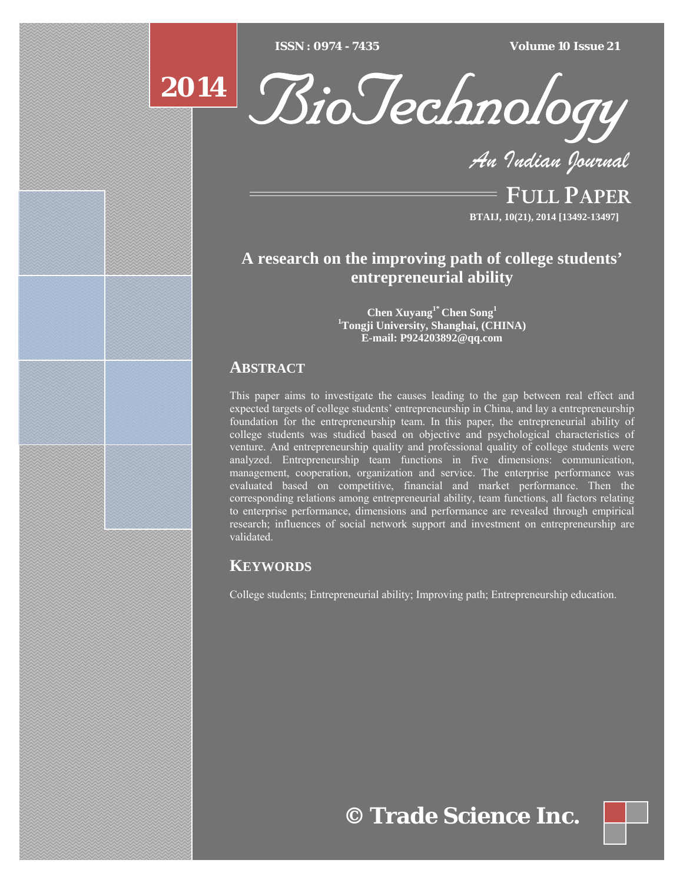$\overline{ISSN} : 0974 - 7435$ 

*ISSN : 0974 - 7435 Volume 10 Issue 21*



*An Indian Journal*

FULL PAPER **BTAIJ, 10(21), 2014 [13492-13497]**

# **A research on the improving path of college students' entrepreneurial ability**

**Chen Xuyang1\* Chen Song1 1 Tongji University, Shanghai, (CHINA) E-mail: P924203892@qq.com** 

# **ABSTRACT**

**2014**

This paper aims to investigate the causes leading to the gap between real effect and expected targets of college students' entrepreneurship in China, and lay a entrepreneurship foundation for the entrepreneurship team. In this paper, the entrepreneurial ability of college students was studied based on objective and psychological characteristics of venture. And entrepreneurship quality and professional quality of college students were analyzed. Entrepreneurship team functions in five dimensions: communication, management, cooperation, organization and service. The enterprise performance was evaluated based on competitive, financial and market performance. Then the corresponding relations among entrepreneurial ability, team functions, all factors relating to enterprise performance, dimensions and performance are revealed through empirical research; influences of social network support and investment on entrepreneurship are validated.

# **KEYWORDS**

College students; Entrepreneurial ability; Improving path; Entrepreneurship education.

**© Trade Science Inc.**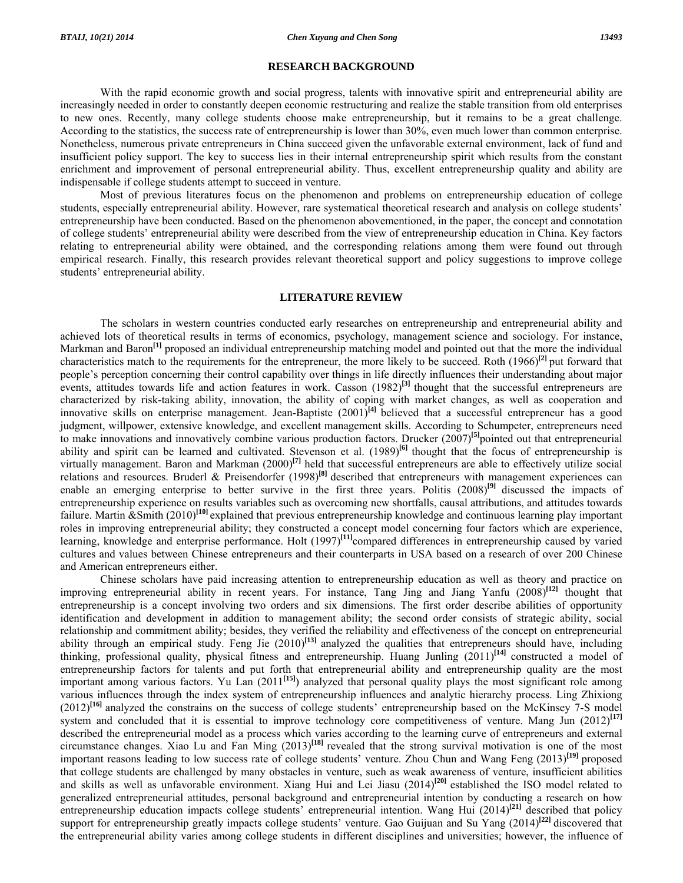#### **RESEARCH BACKGROUND**

 With the rapid economic growth and social progress, talents with innovative spirit and entrepreneurial ability are increasingly needed in order to constantly deepen economic restructuring and realize the stable transition from old enterprises to new ones. Recently, many college students choose make entrepreneurship, but it remains to be a great challenge. According to the statistics, the success rate of entrepreneurship is lower than 30%, even much lower than common enterprise. Nonetheless, numerous private entrepreneurs in China succeed given the unfavorable external environment, lack of fund and insufficient policy support. The key to success lies in their internal entrepreneurship spirit which results from the constant enrichment and improvement of personal entrepreneurial ability. Thus, excellent entrepreneurship quality and ability are indispensable if college students attempt to succeed in venture.

 Most of previous literatures focus on the phenomenon and problems on entrepreneurship education of college students, especially entrepreneurial ability. However, rare systematical theoretical research and analysis on college students' entrepreneurship have been conducted. Based on the phenomenon abovementioned, in the paper, the concept and connotation of college students' entrepreneurial ability were described from the view of entrepreneurship education in China. Key factors relating to entrepreneurial ability were obtained, and the corresponding relations among them were found out through empirical research. Finally, this research provides relevant theoretical support and policy suggestions to improve college students' entrepreneurial ability.

#### **LITERATURE REVIEW**

 The scholars in western countries conducted early researches on entrepreneurship and entrepreneurial ability and achieved lots of theoretical results in terms of economics, psychology, management science and sociology. For instance, Markman and Baron**[1]** proposed an individual entrepreneurship matching model and pointed out that the more the individual characteristics match to the requirements for the entrepreneur, the more likely to be succeed. Roth (1966)**[2]** put forward that people's perception concerning their control capability over things in life directly influences their understanding about major events, attitudes towards life and action features in work. Casson (1982)<sup>[3]</sup> thought that the successful entrepreneurs are characterized by risk-taking ability, innovation, the ability of coping with market changes, as well as cooperation and innovative skills on enterprise management. Jean-Baptiste (2001)**[4]** believed that a successful entrepreneur has a good judgment, willpower, extensive knowledge, and excellent management skills. According to Schumpeter, entrepreneurs need to make innovations and innovatively combine various production factors. Drucker (2007)**[5]**pointed out that entrepreneurial ability and spirit can be learned and cultivated. Stevenson et al. (1989)<sup>[6]</sup> thought that the focus of entrepreneurship is virtually management. Baron and Markman (2000)**[7]** held that successful entrepreneurs are able to effectively utilize social relations and resources. Bruderl & Preisendorfer (1998)**[8]** described that entrepreneurs with management experiences can enable an emerging enterprise to better survive in the first three years. Politis (2008)<sup>[9]</sup> discussed the impacts of entrepreneurship experience on results variables such as overcoming new shortfalls, causal attributions, and attitudes towards failure. Martin &Smith (2010)**[10]** explained that previous entrepreneurship knowledge and continuous learning play important roles in improving entrepreneurial ability; they constructed a concept model concerning four factors which are experience, learning, knowledge and enterprise performance. Holt (1997)<sup>[11]</sup>compared differences in entrepreneurship caused by varied cultures and values between Chinese entrepreneurs and their counterparts in USA based on a research of over 200 Chinese and American entrepreneurs either.

 Chinese scholars have paid increasing attention to entrepreneurship education as well as theory and practice on improving entrepreneurial ability in recent years. For instance, Tang Jing and Jiang Yanfu (2008)**[12]** thought that entrepreneurship is a concept involving two orders and six dimensions. The first order describe abilities of opportunity identification and development in addition to management ability; the second order consists of strategic ability, social relationship and commitment ability; besides, they verified the reliability and effectiveness of the concept on entrepreneurial ability through an empirical study. Feng Jie (2010)<sup>[13]</sup> analyzed the qualities that entrepreneurs should have, including thinking, professional quality, physical fitness and entrepreneurship. Huang Junling (2011)**[14]** constructed a model of entrepreneurship factors for talents and put forth that entrepreneurial ability and entrepreneurship quality are the most important among various factors. Yu Lan (2011**[15]**) analyzed that personal quality plays the most significant role among various influences through the index system of entrepreneurship influences and analytic hierarchy process. Ling Zhixiong (2012)**[16]** analyzed the constrains on the success of college students' entrepreneurship based on the McKinsey 7-S model system and concluded that it is essential to improve technology core competitiveness of venture. Mang Jun  $(2012)^{[17]}$ described the entrepreneurial model as a process which varies according to the learning curve of entrepreneurs and external circumstance changes. Xiao Lu and Fan Ming (2013)**[18]** revealed that the strong survival motivation is one of the most important reasons leading to low success rate of college students' venture. Zhou Chun and Wang Feng (2013)**[19]** proposed that college students are challenged by many obstacles in venture, such as weak awareness of venture, insufficient abilities and skills as well as unfavorable environment. Xiang Hui and Lei Jiasu (2014)**[20]** established the ISO model related to generalized entrepreneurial attitudes, personal background and entrepreneurial intention by conducting a research on how entrepreneurship education impacts college students' entrepreneurial intention. Wang Hui (2014)**[21]** described that policy support for entrepreneurship greatly impacts college students' venture. Gao Guijuan and Su Yang (2014)**[22]** discovered that the entrepreneurial ability varies among college students in different disciplines and universities; however, the influence of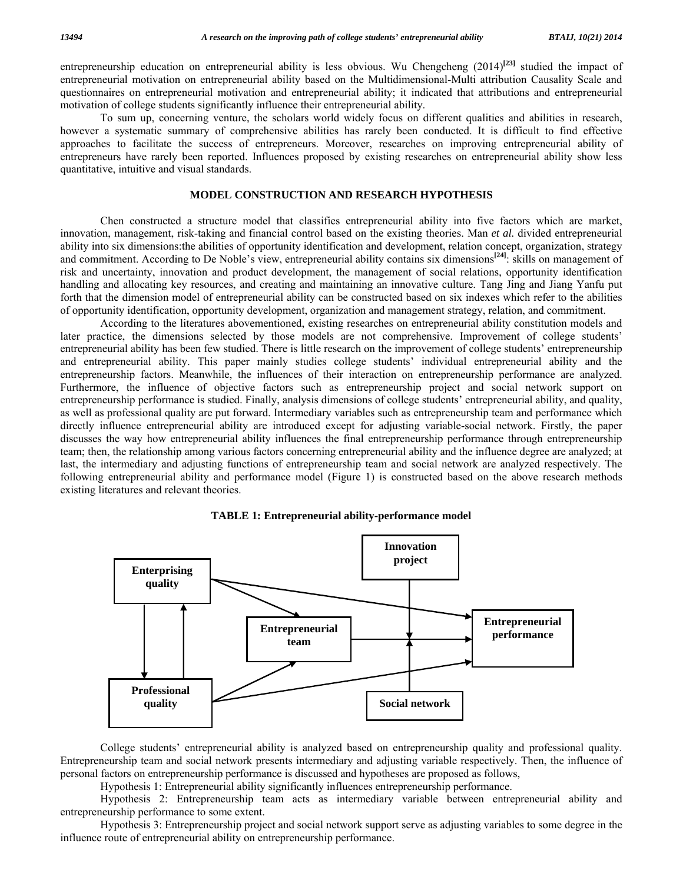entrepreneurship education on entrepreneurial ability is less obvious. Wu Chengcheng (2014)**[23]** studied the impact of entrepreneurial motivation on entrepreneurial ability based on the Multidimensional-Multi attribution Causality Scale and questionnaires on entrepreneurial motivation and entrepreneurial ability; it indicated that attributions and entrepreneurial motivation of college students significantly influence their entrepreneurial ability.

 To sum up, concerning venture, the scholars world widely focus on different qualities and abilities in research, however a systematic summary of comprehensive abilities has rarely been conducted. It is difficult to find effective approaches to facilitate the success of entrepreneurs. Moreover, researches on improving entrepreneurial ability of entrepreneurs have rarely been reported. Influences proposed by existing researches on entrepreneurial ability show less quantitative, intuitive and visual standards.

# **MODEL CONSTRUCTION AND RESEARCH HYPOTHESIS**

 Chen constructed a structure model that classifies entrepreneurial ability into five factors which are market, innovation, management, risk-taking and financial control based on the existing theories. Man *et al.* divided entrepreneurial ability into six dimensions:the abilities of opportunity identification and development, relation concept, organization, strategy and commitment. According to De Noble's view, entrepreneurial ability contains six dimensions<sup>[24]</sup>: skills on management of risk and uncertainty, innovation and product development, the management of social relations, opportunity identification handling and allocating key resources, and creating and maintaining an innovative culture. Tang Jing and Jiang Yanfu put forth that the dimension model of entrepreneurial ability can be constructed based on six indexes which refer to the abilities of opportunity identification, opportunity development, organization and management strategy, relation, and commitment.

 According to the literatures abovementioned, existing researches on entrepreneurial ability constitution models and later practice, the dimensions selected by those models are not comprehensive. Improvement of college students' entrepreneurial ability has been few studied. There is little research on the improvement of college students' entrepreneurship and entrepreneurial ability. This paper mainly studies college students' individual entrepreneurial ability and the entrepreneurship factors. Meanwhile, the influences of their interaction on entrepreneurship performance are analyzed. Furthermore, the influence of objective factors such as entrepreneurship project and social network support on entrepreneurship performance is studied. Finally, analysis dimensions of college students' entrepreneurial ability, and quality, as well as professional quality are put forward. Intermediary variables such as entrepreneurship team and performance which directly influence entrepreneurial ability are introduced except for adjusting variable-social network. Firstly, the paper discusses the way how entrepreneurial ability influences the final entrepreneurship performance through entrepreneurship team; then, the relationship among various factors concerning entrepreneurial ability and the influence degree are analyzed; at last, the intermediary and adjusting functions of entrepreneurship team and social network are analyzed respectively. The following entrepreneurial ability and performance model (Figure 1) is constructed based on the above research methods existing literatures and relevant theories.



**TABLE 1: Entrepreneurial ability-performance model** 

 College students' entrepreneurial ability is analyzed based on entrepreneurship quality and professional quality. Entrepreneurship team and social network presents intermediary and adjusting variable respectively. Then, the influence of personal factors on entrepreneurship performance is discussed and hypotheses are proposed as follows,

Hypothesis 1: Entrepreneurial ability significantly influences entrepreneurship performance.

 Hypothesis 2: Entrepreneurship team acts as intermediary variable between entrepreneurial ability and entrepreneurship performance to some extent.

 Hypothesis 3: Entrepreneurship project and social network support serve as adjusting variables to some degree in the influence route of entrepreneurial ability on entrepreneurship performance.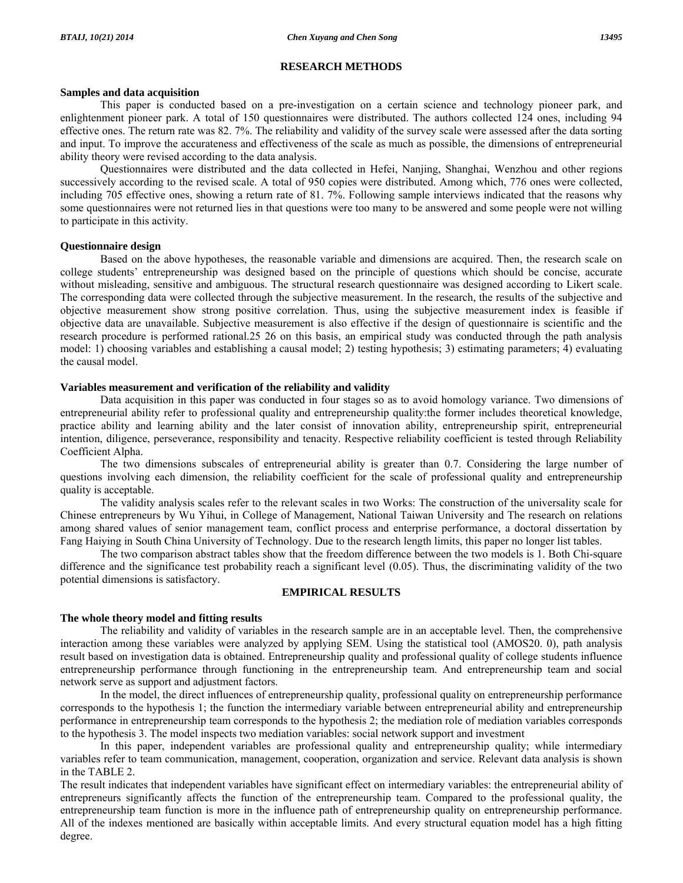#### **RESEARCH METHODS**

#### **Samples and data acquisition**

 This paper is conducted based on a pre-investigation on a certain science and technology pioneer park, and enlightenment pioneer park. A total of 150 questionnaires were distributed. The authors collected 124 ones, including 94 effective ones. The return rate was 82. 7%. The reliability and validity of the survey scale were assessed after the data sorting and input. To improve the accurateness and effectiveness of the scale as much as possible, the dimensions of entrepreneurial ability theory were revised according to the data analysis.

 Questionnaires were distributed and the data collected in Hefei, Nanjing, Shanghai, Wenzhou and other regions successively according to the revised scale. A total of 950 copies were distributed. Among which, 776 ones were collected, including 705 effective ones, showing a return rate of 81. 7%. Following sample interviews indicated that the reasons why some questionnaires were not returned lies in that questions were too many to be answered and some people were not willing to participate in this activity.

# **Questionnaire design**

 Based on the above hypotheses, the reasonable variable and dimensions are acquired. Then, the research scale on college students' entrepreneurship was designed based on the principle of questions which should be concise, accurate without misleading, sensitive and ambiguous. The structural research questionnaire was designed according to Likert scale. The corresponding data were collected through the subjective measurement. In the research, the results of the subjective and objective measurement show strong positive correlation. Thus, using the subjective measurement index is feasible if objective data are unavailable. Subjective measurement is also effective if the design of questionnaire is scientific and the research procedure is performed rational.25 26 on this basis, an empirical study was conducted through the path analysis model: 1) choosing variables and establishing a causal model; 2) testing hypothesis; 3) estimating parameters; 4) evaluating the causal model.

# **Variables measurement and verification of the reliability and validity**

 Data acquisition in this paper was conducted in four stages so as to avoid homology variance. Two dimensions of entrepreneurial ability refer to professional quality and entrepreneurship quality:the former includes theoretical knowledge, practice ability and learning ability and the later consist of innovation ability, entrepreneurship spirit, entrepreneurial intention, diligence, perseverance, responsibility and tenacity. Respective reliability coefficient is tested through Reliability Coefficient Alpha.

 The two dimensions subscales of entrepreneurial ability is greater than 0.7. Considering the large number of questions involving each dimension, the reliability coefficient for the scale of professional quality and entrepreneurship quality is acceptable.

 The validity analysis scales refer to the relevant scales in two Works: The construction of the universality scale for Chinese entrepreneurs by Wu Yihui, in College of Management, National Taiwan University and The research on relations among shared values of senior management team, conflict process and enterprise performance, a doctoral dissertation by Fang Haiying in South China University of Technology. Due to the research length limits, this paper no longer list tables.

 The two comparison abstract tables show that the freedom difference between the two models is 1. Both Chi-square difference and the significance test probability reach a significant level (0.05). Thus, the discriminating validity of the two potential dimensions is satisfactory.

# **EMPIRICAL RESULTS**

# **The whole theory model and fitting results**

 The reliability and validity of variables in the research sample are in an acceptable level. Then, the comprehensive interaction among these variables were analyzed by applying SEM. Using the statistical tool (AMOS20. 0), path analysis result based on investigation data is obtained. Entrepreneurship quality and professional quality of college students influence entrepreneurship performance through functioning in the entrepreneurship team. And entrepreneurship team and social network serve as support and adjustment factors.

 In the model, the direct influences of entrepreneurship quality, professional quality on entrepreneurship performance corresponds to the hypothesis 1; the function the intermediary variable between entrepreneurial ability and entrepreneurship performance in entrepreneurship team corresponds to the hypothesis 2; the mediation role of mediation variables corresponds to the hypothesis 3. The model inspects two mediation variables: social network support and investment

 In this paper, independent variables are professional quality and entrepreneurship quality; while intermediary variables refer to team communication, management, cooperation, organization and service. Relevant data analysis is shown in the TABLE 2.

The result indicates that independent variables have significant effect on intermediary variables: the entrepreneurial ability of entrepreneurs significantly affects the function of the entrepreneurship team. Compared to the professional quality, the entrepreneurship team function is more in the influence path of entrepreneurship quality on entrepreneurship performance. All of the indexes mentioned are basically within acceptable limits. And every structural equation model has a high fitting degree.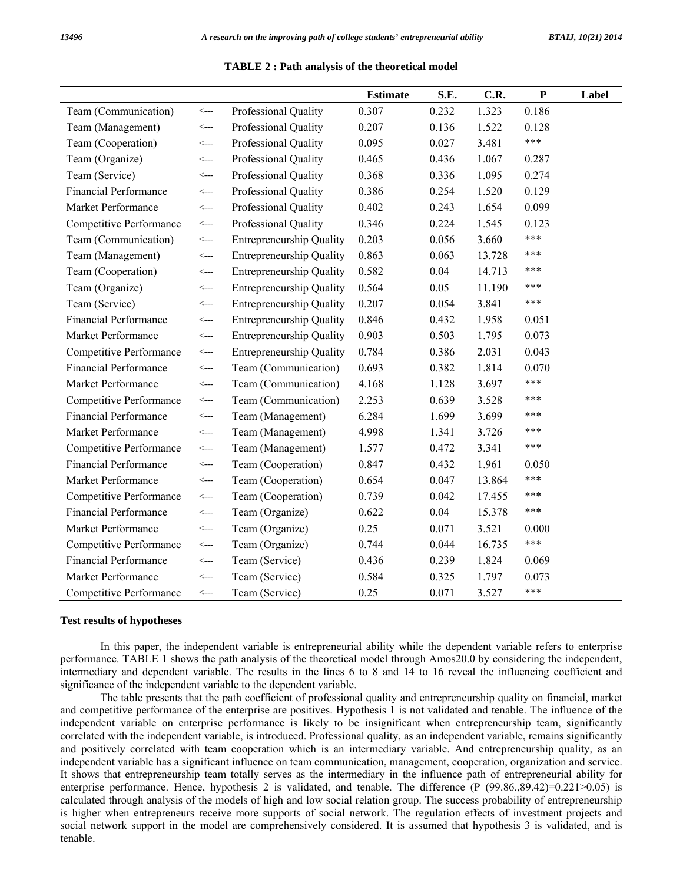|                              |                         |                                 | <b>Estimate</b> | S.E.  | C.R.   | ${\bf P}$ | Label |
|------------------------------|-------------------------|---------------------------------|-----------------|-------|--------|-----------|-------|
| Team (Communication)         | $\leftarrow$            | Professional Quality            | 0.307           | 0.232 | 1.323  | 0.186     |       |
| Team (Management)            | <---                    | Professional Quality            | 0.207           | 0.136 | 1.522  | 0.128     |       |
| Team (Cooperation)           | <---                    | Professional Quality            | 0.095           | 0.027 | 3.481  | ***       |       |
| Team (Organize)              | <---                    | Professional Quality            | 0.465           | 0.436 | 1.067  | 0.287     |       |
| Team (Service)               | <---                    | Professional Quality            | 0.368           | 0.336 | 1.095  | 0.274     |       |
| <b>Financial Performance</b> | $\leftarrow$ --         | Professional Quality            | 0.386           | 0.254 | 1.520  | 0.129     |       |
| Market Performance           | $\leftarrow$ --         | Professional Quality            | 0.402           | 0.243 | 1.654  | 0.099     |       |
| Competitive Performance      | <---                    | Professional Quality            | 0.346           | 0.224 | 1.545  | 0.123     |       |
| Team (Communication)         | $\leftarrow$ --         | <b>Entrepreneurship Quality</b> | 0.203           | 0.056 | 3.660  | ***       |       |
| Team (Management)            | $\leftarrow$            | <b>Entrepreneurship Quality</b> | 0.863           | 0.063 | 13.728 | ***       |       |
| Team (Cooperation)           | <---                    | <b>Entrepreneurship Quality</b> | 0.582           | 0.04  | 14.713 | ***       |       |
| Team (Organize)              | <---                    | Entrepreneurship Quality        | 0.564           | 0.05  | 11.190 | ***       |       |
| Team (Service)               | <---                    | <b>Entrepreneurship Quality</b> | 0.207           | 0.054 | 3.841  | ***       |       |
| <b>Financial Performance</b> | <---                    | <b>Entrepreneurship Quality</b> | 0.846           | 0.432 | 1.958  | 0.051     |       |
| Market Performance           | <---                    | <b>Entrepreneurship Quality</b> | 0.903           | 0.503 | 1.795  | 0.073     |       |
| Competitive Performance      | <---                    | <b>Entrepreneurship Quality</b> | 0.784           | 0.386 | 2.031  | 0.043     |       |
| <b>Financial Performance</b> | $\leftarrow$            | Team (Communication)            | 0.693           | 0.382 | 1.814  | 0.070     |       |
| Market Performance           | <---                    | Team (Communication)            | 4.168           | 1.128 | 3.697  | ***       |       |
| Competitive Performance      | <---                    | Team (Communication)            | 2.253           | 0.639 | 3.528  | ***       |       |
| <b>Financial Performance</b> | <---                    | Team (Management)               | 6.284           | 1.699 | 3.699  | ***       |       |
| Market Performance           | <---                    | Team (Management)               | 4.998           | 1.341 | 3.726  | ***       |       |
| Competitive Performance      | $\leftarrow$            | Team (Management)               | 1.577           | 0.472 | 3.341  | $***$     |       |
| <b>Financial Performance</b> | $\leftarrow$ --         | Team (Cooperation)              | 0.847           | 0.432 | 1.961  | 0.050     |       |
| Market Performance           | <---                    | Team (Cooperation)              | 0.654           | 0.047 | 13.864 | ***       |       |
| Competitive Performance      | $\operatorname{\!<\!}-$ | Team (Cooperation)              | 0.739           | 0.042 | 17.455 | ***       |       |
| <b>Financial Performance</b> | $\leftarrow$ --         | Team (Organize)                 | 0.622           | 0.04  | 15.378 | ***       |       |
| Market Performance           | <---                    | Team (Organize)                 | 0.25            | 0.071 | 3.521  | 0.000     |       |
| Competitive Performance      | <--->                   | Team (Organize)                 | 0.744           | 0.044 | 16.735 | ***       |       |
| <b>Financial Performance</b> | $\leftarrow$ --         | Team (Service)                  | 0.436           | 0.239 | 1.824  | 0.069     |       |
| Market Performance           | <---                    | Team (Service)                  | 0.584           | 0.325 | 1.797  | 0.073     |       |
| Competitive Performance      | <---                    | Team (Service)                  | 0.25            | 0.071 | 3.527  | ***       |       |

#### **Test results of hypotheses**

 In this paper, the independent variable is entrepreneurial ability while the dependent variable refers to enterprise performance. TABLE 1 shows the path analysis of the theoretical model through Amos20.0 by considering the independent, intermediary and dependent variable. The results in the lines 6 to 8 and 14 to 16 reveal the influencing coefficient and significance of the independent variable to the dependent variable.

 The table presents that the path coefficient of professional quality and entrepreneurship quality on financial, market and competitive performance of the enterprise are positives. Hypothesis 1 is not validated and tenable. The influence of the independent variable on enterprise performance is likely to be insignificant when entrepreneurship team, significantly correlated with the independent variable, is introduced. Professional quality, as an independent variable, remains significantly and positively correlated with team cooperation which is an intermediary variable. And entrepreneurship quality, as an independent variable has a significant influence on team communication, management, cooperation, organization and service. It shows that entrepreneurship team totally serves as the intermediary in the influence path of entrepreneurial ability for enterprise performance. Hence, hypothesis 2 is validated, and tenable. The difference (P (99.86.,89.42)=0.221>0.05) is calculated through analysis of the models of high and low social relation group. The success probability of entrepreneurship is higher when entrepreneurs receive more supports of social network. The regulation effects of investment projects and social network support in the model are comprehensively considered. It is assumed that hypothesis 3 is validated, and is tenable.